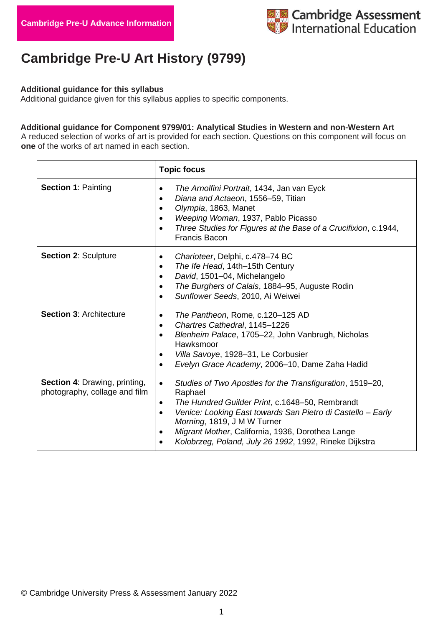

# **Cambridge Pre-U Art History (9799)**

#### **Additional guidance for this syllabus**

Additional guidance given for this syllabus applies to specific components.

#### **Additional guidance for Component 9799/01: Analytical Studies in Western and non-Western Art**

A reduced selection of works of art is provided for each section. Questions on this component will focus on **one** of the works of art named in each section.

|                                                                       | <b>Topic focus</b>                                                                                                                                                                                                                                                                                                                                                                                   |
|-----------------------------------------------------------------------|------------------------------------------------------------------------------------------------------------------------------------------------------------------------------------------------------------------------------------------------------------------------------------------------------------------------------------------------------------------------------------------------------|
| <b>Section 1: Painting</b>                                            | The Arnolfini Portrait, 1434, Jan van Eyck<br>$\bullet$<br>Diana and Actaeon, 1556-59, Titian<br>Olympia, 1863, Manet<br>$\bullet$<br>Weeping Woman, 1937, Pablo Picasso<br>Three Studies for Figures at the Base of a Crucifixion, c.1944,<br>$\bullet$<br><b>Francis Bacon</b>                                                                                                                     |
| <b>Section 2: Sculpture</b>                                           | Charioteer, Delphi, c.478-74 BC<br>$\bullet$<br>The Ife Head, 14th-15th Century<br>$\bullet$<br>David, 1501-04, Michelangelo<br>The Burghers of Calais, 1884–95, Auguste Rodin<br>$\bullet$<br>Sunflower Seeds, 2010, Ai Weiwei                                                                                                                                                                      |
| <b>Section 3: Architecture</b>                                        | The Pantheon, Rome, c.120-125 AD<br>Chartres Cathedral, 1145-1226<br>$\bullet$<br>Blenheim Palace, 1705-22, John Vanbrugh, Nicholas<br>$\bullet$<br>Hawksmoor<br>Villa Savoye, 1928-31, Le Corbusier<br>$\bullet$<br>Evelyn Grace Academy, 2006-10, Dame Zaha Hadid<br>$\bullet$                                                                                                                     |
| <b>Section 4: Drawing, printing,</b><br>photography, collage and film | Studies of Two Apostles for the Transfiguration, 1519–20,<br>$\bullet$<br>Raphael<br>The Hundred Guilder Print, c.1648-50, Rembrandt<br>$\bullet$<br>Venice: Looking East towards San Pietro di Castello - Early<br>$\bullet$<br>Morning, 1819, J M W Turner<br>Migrant Mother, California, 1936, Dorothea Lange<br>$\bullet$<br>Kolobrzeg, Poland, July 26 1992, 1992, Rineke Dijkstra<br>$\bullet$ |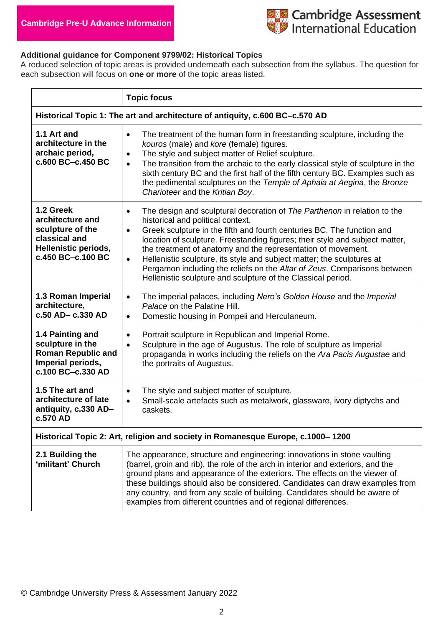

## **Additional guidance for Component 9799/02: Historical Topics**

A reduced selection of topic areas is provided underneath each subsection from the syllabus. The question for each subsection will focus on **one or more** of the topic areas listed.

|                                                                                                                 | <b>Topic focus</b>                                                                                                                                                                                                                                                                                                                                                                                                                                                                                                                                                                                   |  |
|-----------------------------------------------------------------------------------------------------------------|------------------------------------------------------------------------------------------------------------------------------------------------------------------------------------------------------------------------------------------------------------------------------------------------------------------------------------------------------------------------------------------------------------------------------------------------------------------------------------------------------------------------------------------------------------------------------------------------------|--|
| Historical Topic 1: The art and architecture of antiquity, c.600 BC-c.570 AD                                    |                                                                                                                                                                                                                                                                                                                                                                                                                                                                                                                                                                                                      |  |
| 1.1 Art and<br>architecture in the<br>archaic period,<br>c.600 BC-c.450 BC                                      | The treatment of the human form in freestanding sculpture, including the<br>$\bullet$<br>kouros (male) and kore (female) figures.<br>The style and subject matter of Relief sculpture.<br>$\bullet$<br>The transition from the archaic to the early classical style of sculpture in the<br>$\bullet$<br>sixth century BC and the first half of the fifth century BC. Examples such as<br>the pedimental sculptures on the Temple of Aphaia at Aegina, the Bronze<br>Charioteer and the Kritian Boy.                                                                                                  |  |
| 1.2 Greek<br>architecture and<br>sculpture of the<br>classical and<br>Hellenistic periods,<br>c.450 BC-c.100 BC | The design and sculptural decoration of The Parthenon in relation to the<br>$\bullet$<br>historical and political context.<br>Greek sculpture in the fifth and fourth centuries BC. The function and<br>$\bullet$<br>location of sculpture. Freestanding figures; their style and subject matter,<br>the treatment of anatomy and the representation of movement.<br>Hellenistic sculpture, its style and subject matter; the sculptures at<br>$\bullet$<br>Pergamon including the reliefs on the Altar of Zeus. Comparisons between<br>Hellenistic sculpture and sculpture of the Classical period. |  |
| 1.3 Roman Imperial<br>architecture,<br>c.50 AD- c.330 AD                                                        | The imperial palaces, including Nero's Golden House and the Imperial<br>$\bullet$<br>Palace on the Palatine Hill.<br>Domestic housing in Pompeii and Herculaneum.<br>$\bullet$                                                                                                                                                                                                                                                                                                                                                                                                                       |  |
| 1.4 Painting and<br>sculpture in the<br><b>Roman Republic and</b><br>Imperial periods,<br>c.100 BC-c.330 AD     | Portrait sculpture in Republican and Imperial Rome.<br>$\bullet$<br>Sculpture in the age of Augustus. The role of sculpture as Imperial<br>$\bullet$<br>propaganda in works including the reliefs on the Ara Pacis Augustae and<br>the portraits of Augustus.                                                                                                                                                                                                                                                                                                                                        |  |
| 1.5 The art and<br>architecture of late<br>antiquity, c.330 AD-<br>c.570 AD                                     | The style and subject matter of sculpture.<br>$\bullet$<br>Small-scale artefacts such as metalwork, glassware, ivory diptychs and<br>$\bullet$<br>caskets.                                                                                                                                                                                                                                                                                                                                                                                                                                           |  |
| Historical Topic 2: Art, religion and society in Romanesque Europe, c.1000–1200                                 |                                                                                                                                                                                                                                                                                                                                                                                                                                                                                                                                                                                                      |  |
| 2.1 Building the<br>'militant' Church                                                                           | The appearance, structure and engineering: innovations in stone vaulting<br>(barrel, groin and rib), the role of the arch in interior and exteriors, and the<br>ground plans and appearance of the exteriors. The effects on the viewer of<br>these buildings should also be considered. Candidates can draw examples from<br>any country, and from any scale of building. Candidates should be aware of<br>examples from different countries and of regional differences.                                                                                                                           |  |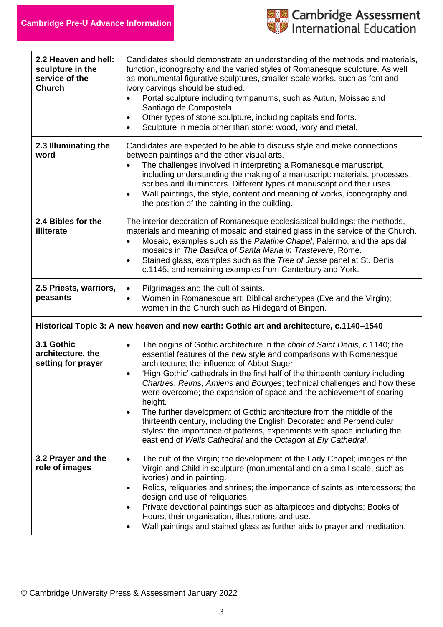

| 2.2 Heaven and hell:<br>sculpture in the<br>service of the<br><b>Church</b> | Candidates should demonstrate an understanding of the methods and materials,<br>function, iconography and the varied styles of Romanesque sculpture. As well<br>as monumental figurative sculptures, smaller-scale works, such as font and<br>ivory carvings should be studied.<br>Portal sculpture including tympanums, such as Autun, Moissac and<br>Santiago de Compostela.<br>Other types of stone sculpture, including capitals and fonts.<br>$\bullet$<br>Sculpture in media other than stone: wood, ivory and metal.<br>$\bullet$                                                                                                                                                                                                                                                |
|-----------------------------------------------------------------------------|-----------------------------------------------------------------------------------------------------------------------------------------------------------------------------------------------------------------------------------------------------------------------------------------------------------------------------------------------------------------------------------------------------------------------------------------------------------------------------------------------------------------------------------------------------------------------------------------------------------------------------------------------------------------------------------------------------------------------------------------------------------------------------------------|
| 2.3 Illuminating the<br>word                                                | Candidates are expected to be able to discuss style and make connections<br>between paintings and the other visual arts.<br>The challenges involved in interpreting a Romanesque manuscript,<br>$\bullet$<br>including understanding the making of a manuscript: materials, processes,<br>scribes and illuminators. Different types of manuscript and their uses.<br>Wall paintings, the style, content and meaning of works, iconography and<br>$\bullet$<br>the position of the painting in the building.                                                                                                                                                                                                                                                                             |
| 2.4 Bibles for the<br>illiterate                                            | The interior decoration of Romanesque ecclesiastical buildings: the methods,<br>materials and meaning of mosaic and stained glass in the service of the Church.<br>Mosaic, examples such as the Palatine Chapel, Palermo, and the apsidal<br>mosaics in The Basilica of Santa Maria in Trastevere, Rome.<br>Stained glass, examples such as the Tree of Jesse panel at St. Denis,<br>$\bullet$<br>c.1145, and remaining examples from Canterbury and York.                                                                                                                                                                                                                                                                                                                              |
| 2.5 Priests, warriors,<br>peasants                                          | Pilgrimages and the cult of saints.<br>$\bullet$<br>Women in Romanesque art: Biblical archetypes (Eve and the Virgin);<br>$\bullet$<br>women in the Church such as Hildegard of Bingen.                                                                                                                                                                                                                                                                                                                                                                                                                                                                                                                                                                                                 |
|                                                                             | Historical Topic 3: A new heaven and new earth: Gothic art and architecture, c.1140-1540                                                                                                                                                                                                                                                                                                                                                                                                                                                                                                                                                                                                                                                                                                |
| 3.1 Gothic<br>architecture, the<br>setting for prayer                       | The origins of Gothic architecture in the choir of Saint Denis, c.1140; the<br>$\bullet$<br>essential features of the new style and comparisons with Romanesque<br>architecture; the influence of Abbot Suger.<br>'High Gothic' cathedrals in the first half of the thirteenth century including<br>$\bullet$<br>Chartres, Reims, Amiens and Bourges; technical challenges and how these<br>were overcome; the expansion of space and the achievement of soaring<br>height.<br>The further development of Gothic architecture from the middle of the<br>$\bullet$<br>thirteenth century, including the English Decorated and Perpendicular<br>styles: the importance of patterns, experiments with space including the<br>east end of Wells Cathedral and the Octagon at Ely Cathedral. |
| 3.2 Prayer and the<br>role of images                                        | The cult of the Virgin; the development of the Lady Chapel; images of the<br>$\bullet$<br>Virgin and Child in sculpture (monumental and on a small scale, such as<br>ivories) and in painting.<br>Relics, reliquaries and shrines; the importance of saints as intercessors; the<br>$\bullet$<br>design and use of reliquaries.<br>Private devotional paintings such as altarpieces and diptychs; Books of<br>$\bullet$<br>Hours, their organisation, illustrations and use.<br>Wall paintings and stained glass as further aids to prayer and meditation.<br>$\bullet$                                                                                                                                                                                                                 |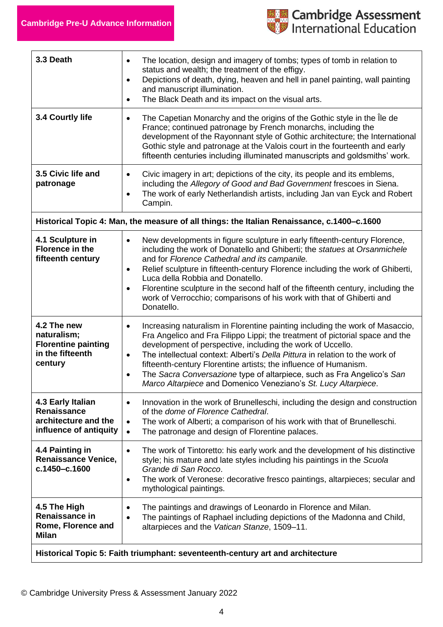

| 3.3 Death                                                                                  | The location, design and imagery of tombs; types of tomb in relation to<br>$\bullet$<br>status and wealth; the treatment of the effigy.<br>Depictions of death, dying, heaven and hell in panel painting, wall painting<br>$\bullet$<br>and manuscript illumination.<br>The Black Death and its impact on the visual arts.<br>$\bullet$                                                                                                                                                                                                                           |  |
|--------------------------------------------------------------------------------------------|-------------------------------------------------------------------------------------------------------------------------------------------------------------------------------------------------------------------------------------------------------------------------------------------------------------------------------------------------------------------------------------------------------------------------------------------------------------------------------------------------------------------------------------------------------------------|--|
| 3.4 Courtly life                                                                           | The Capetian Monarchy and the origins of the Gothic style in the lie de<br>$\bullet$<br>France; continued patronage by French monarchs, including the<br>development of the Rayonnant style of Gothic architecture; the International<br>Gothic style and patronage at the Valois court in the fourteenth and early<br>fifteenth centuries including illuminated manuscripts and goldsmiths' work.                                                                                                                                                                |  |
| 3.5 Civic life and<br>patronage                                                            | Civic imagery in art; depictions of the city, its people and its emblems,<br>$\bullet$<br>including the Allegory of Good and Bad Government frescoes in Siena.<br>The work of early Netherlandish artists, including Jan van Eyck and Robert<br>$\bullet$<br>Campin.                                                                                                                                                                                                                                                                                              |  |
| Historical Topic 4: Man, the measure of all things: the Italian Renaissance, c.1400–c.1600 |                                                                                                                                                                                                                                                                                                                                                                                                                                                                                                                                                                   |  |
| 4.1 Sculpture in<br><b>Florence in the</b><br>fifteenth century                            | New developments in figure sculpture in early fifteenth-century Florence,<br>$\bullet$<br>including the work of Donatello and Ghiberti; the statues at Orsanmichele<br>and for Florence Cathedral and its campanile.<br>Relief sculpture in fifteenth-century Florence including the work of Ghiberti,<br>$\bullet$<br>Luca della Robbia and Donatello.<br>Florentine sculpture in the second half of the fifteenth century, including the<br>$\bullet$<br>work of Verrocchio; comparisons of his work with that of Ghiberti and<br>Donatello.                    |  |
| 4.2 The new<br>naturalism;<br><b>Florentine painting</b><br>in the fifteenth<br>century    | Increasing naturalism in Florentine painting including the work of Masaccio,<br>$\bullet$<br>Fra Angelico and Fra Filippo Lippi; the treatment of pictorial space and the<br>development of perspective, including the work of Uccello.<br>The intellectual context: Alberti's Della Pittura in relation to the work of<br>$\bullet$<br>fifteenth-century Florentine artists; the influence of Humanism.<br>The Sacra Conversazione type of altarpiece, such as Fra Angelico's San<br>$\bullet$<br>Marco Altarpiece and Domenico Veneziano's St. Lucy Altarpiece. |  |
| 4.3 Early Italian<br><b>Renaissance</b><br>architecture and the<br>influence of antiquity  | Innovation in the work of Brunelleschi, including the design and construction<br>$\bullet$<br>of the dome of Florence Cathedral.<br>The work of Alberti; a comparison of his work with that of Brunelleschi.<br>$\bullet$<br>The patronage and design of Florentine palaces.<br>$\bullet$                                                                                                                                                                                                                                                                         |  |
| 4.4 Painting in<br><b>Renaissance Venice,</b><br>c.1450-c.1600                             | The work of Tintoretto: his early work and the development of his distinctive<br>$\bullet$<br>style; his mature and late styles including his paintings in the Scuola<br>Grande di San Rocco.<br>The work of Veronese: decorative fresco paintings, altarpieces; secular and<br>$\bullet$<br>mythological paintings.                                                                                                                                                                                                                                              |  |
| 4.5 The High<br>Renaissance in<br>Rome, Florence and<br><b>Milan</b>                       | The paintings and drawings of Leonardo in Florence and Milan.<br>$\bullet$<br>The paintings of Raphael including depictions of the Madonna and Child,<br>$\bullet$<br>altarpieces and the Vatican Stanze, 1509-11.                                                                                                                                                                                                                                                                                                                                                |  |
| Historical Topic 5: Faith triumphant: seventeenth-century art and architecture             |                                                                                                                                                                                                                                                                                                                                                                                                                                                                                                                                                                   |  |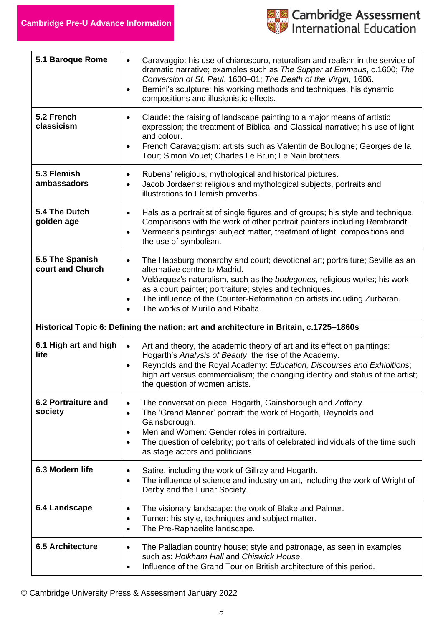

| 5.1 Baroque Rome                                                                       | Caravaggio: his use of chiaroscuro, naturalism and realism in the service of<br>$\bullet$<br>dramatic narrative; examples such as The Supper at Emmaus, c.1600; The<br>Conversion of St. Paul, 1600-01; The Death of the Virgin, 1606.<br>Bernini's sculpture: his working methods and techniques, his dynamic<br>$\bullet$<br>compositions and illusionistic effects.                                                  |
|----------------------------------------------------------------------------------------|-------------------------------------------------------------------------------------------------------------------------------------------------------------------------------------------------------------------------------------------------------------------------------------------------------------------------------------------------------------------------------------------------------------------------|
| 5.2 French<br>classicism                                                               | Claude: the raising of landscape painting to a major means of artistic<br>$\bullet$<br>expression; the treatment of Biblical and Classical narrative; his use of light<br>and colour.<br>French Caravaggism: artists such as Valentin de Boulogne; Georges de la<br>$\bullet$<br>Tour; Simon Vouet; Charles Le Brun; Le Nain brothers.                                                                                  |
| 5.3 Flemish<br>ambassadors                                                             | Rubens' religious, mythological and historical pictures.<br>٠<br>Jacob Jordaens: religious and mythological subjects, portraits and<br>$\bullet$<br>illustrations to Flemish proverbs.                                                                                                                                                                                                                                  |
| 5.4 The Dutch<br>golden age                                                            | Hals as a portraitist of single figures and of groups; his style and technique.<br>$\bullet$<br>Comparisons with the work of other portrait painters including Rembrandt.<br>Vermeer's paintings: subject matter, treatment of light, compositions and<br>$\bullet$<br>the use of symbolism.                                                                                                                            |
| 5.5 The Spanish<br>court and Church                                                    | The Hapsburg monarchy and court; devotional art; portraiture; Seville as an<br>$\bullet$<br>alternative centre to Madrid.<br>Velázquez's naturalism, such as the bodegones, religious works; his work<br>$\bullet$<br>as a court painter; portraiture; styles and techniques.<br>The influence of the Counter-Reformation on artists including Zurbarán.<br>$\bullet$<br>The works of Murillo and Ribalta.<br>$\bullet$ |
| Historical Topic 6: Defining the nation: art and architecture in Britain, c.1725-1860s |                                                                                                                                                                                                                                                                                                                                                                                                                         |
| 6.1 High art and high<br>life                                                          | Art and theory, the academic theory of art and its effect on paintings:<br>$\bullet$<br>Hogarth's Analysis of Beauty; the rise of the Academy.<br>Reynolds and the Royal Academy: Education, Discourses and Exhibitions;<br>$\bullet$<br>high art versus commercialism; the changing identity and status of the artist;<br>the question of women artists.                                                               |
| 6.2 Portraiture and<br>society                                                         | The conversation piece: Hogarth, Gainsborough and Zoffany.<br>$\bullet$<br>The 'Grand Manner' portrait: the work of Hogarth, Reynolds and<br>$\bullet$<br>Gainsborough.<br>Men and Women: Gender roles in portraiture.<br>$\bullet$                                                                                                                                                                                     |
|                                                                                        | The question of celebrity; portraits of celebrated individuals of the time such<br>$\bullet$<br>as stage actors and politicians.                                                                                                                                                                                                                                                                                        |
| 6.3 Modern life                                                                        | Satire, including the work of Gillray and Hogarth.<br>٠<br>The influence of science and industry on art, including the work of Wright of<br>$\bullet$<br>Derby and the Lunar Society.                                                                                                                                                                                                                                   |
| 6.4 Landscape                                                                          | The visionary landscape: the work of Blake and Palmer.<br>$\bullet$<br>Turner: his style, techniques and subject matter.<br>٠<br>The Pre-Raphaelite landscape.<br>$\bullet$                                                                                                                                                                                                                                             |

© Cambridge University Press & Assessment January 2022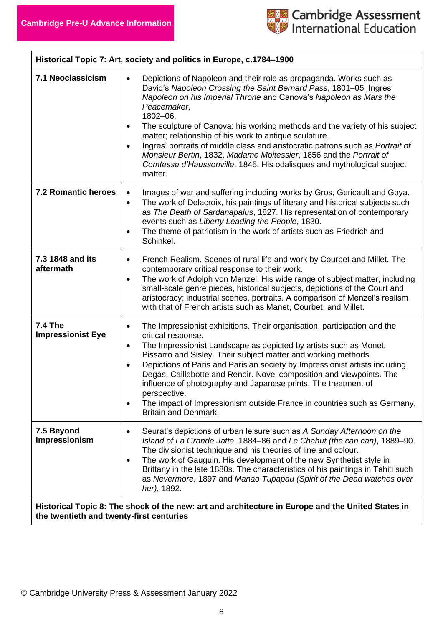

| Historical Topic 7: Art, society and politics in Europe, c.1784-1900                                                                          |                                                                                                                                                                                                                                                                                                                                                                                                                                                                                                                                                                                                                                                               |
|-----------------------------------------------------------------------------------------------------------------------------------------------|---------------------------------------------------------------------------------------------------------------------------------------------------------------------------------------------------------------------------------------------------------------------------------------------------------------------------------------------------------------------------------------------------------------------------------------------------------------------------------------------------------------------------------------------------------------------------------------------------------------------------------------------------------------|
| 7.1 Neoclassicism                                                                                                                             | Depictions of Napoleon and their role as propaganda. Works such as<br>$\bullet$<br>David's Napoleon Crossing the Saint Bernard Pass, 1801–05, Ingres'<br>Napoleon on his Imperial Throne and Canova's Napoleon as Mars the<br>Peacemaker,<br>1802-06.<br>The sculpture of Canova: his working methods and the variety of his subject<br>٠<br>matter; relationship of his work to antique sculpture.<br>Ingres' portraits of middle class and aristocratic patrons such as Portrait of<br>$\bullet$<br>Monsieur Bertin, 1832, Madame Moitessier, 1856 and the Portrait of<br>Comtesse d'Haussonville, 1845. His odalisques and mythological subject<br>matter. |
| <b>7.2 Romantic heroes</b>                                                                                                                    | Images of war and suffering including works by Gros, Gericault and Goya.<br>$\bullet$<br>The work of Delacroix, his paintings of literary and historical subjects such<br>$\bullet$<br>as The Death of Sardanapalus, 1827. His representation of contemporary<br>events such as Liberty Leading the People, 1830.<br>The theme of patriotism in the work of artists such as Friedrich and<br>$\bullet$<br>Schinkel.                                                                                                                                                                                                                                           |
| 7.3 1848 and its<br>aftermath                                                                                                                 | French Realism. Scenes of rural life and work by Courbet and Millet. The<br>$\bullet$<br>contemporary critical response to their work.<br>The work of Adolph von Menzel. His wide range of subject matter, including<br>$\bullet$<br>small-scale genre pieces, historical subjects, depictions of the Court and<br>aristocracy; industrial scenes, portraits. A comparison of Menzel's realism<br>with that of French artists such as Manet, Courbet, and Millet.                                                                                                                                                                                             |
| <b>7.4 The</b><br><b>Impressionist Eye</b>                                                                                                    | The Impressionist exhibitions. Their organisation, participation and the<br>$\bullet$<br>critical response.<br>The Impressionist Landscape as depicted by artists such as Monet,<br>$\bullet$<br>Pissarro and Sisley. Their subject matter and working methods.<br>Depictions of Paris and Parisian society by Impressionist artists including<br>$\bullet$<br>Degas, Caillebotte and Renoir. Novel composition and viewpoints. The<br>influence of photography and Japanese prints. The treatment of<br>perspective.<br>The impact of Impressionism outside France in countries such as Germany,<br>$\bullet$<br><b>Britain and Denmark.</b>                 |
| 7.5 Beyond<br>Impressionism                                                                                                                   | Seurat's depictions of urban leisure such as A Sunday Afternoon on the<br>٠<br>Island of La Grande Jatte, 1884–86 and Le Chahut (the can can), 1889–90.<br>The divisionist technique and his theories of line and colour.<br>The work of Gauguin. His development of the new Synthetist style in<br>$\bullet$<br>Brittany in the late 1880s. The characteristics of his paintings in Tahiti such<br>as Nevermore, 1897 and Manao Tupapau (Spirit of the Dead watches over<br>her), 1892.                                                                                                                                                                      |
| Historical Topic 8: The shock of the new: art and architecture in Europe and the United States in<br>the twentieth and twenty-first centuries |                                                                                                                                                                                                                                                                                                                                                                                                                                                                                                                                                                                                                                                               |